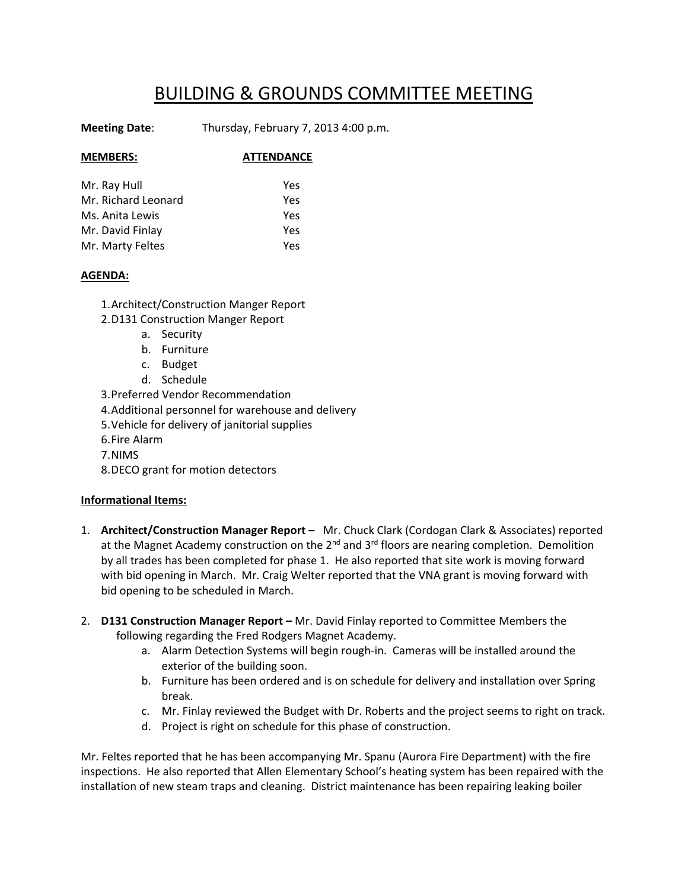# BUILDING & GROUNDS COMMITTEE MEETING

**Meeting Date**: Thursday, February 7, 2013 4:00 p.m.

## **MEMBERS: ATTENDANCE**

| Mr. Ray Hull        | Yes |
|---------------------|-----|
| Mr. Richard Leonard | Yes |
| Ms. Anita Lewis     | Yes |
| Mr. David Finlay    | Yes |
| Mr. Marty Feltes    | Yes |

#### **AGENDA:**

1.Architect/Construction Manger Report

- 2.D131 Construction Manger Report
	- a. Security
	- b. Furniture
	- c. Budget
	- d. Schedule

3.Preferred Vendor Recommendation

4.Additional personnel for warehouse and delivery

5.Vehicle for delivery of janitorial supplies

- 6.Fire Alarm
- 7.NIMS

8.DECO grant for motion detectors

### **Informational Items:**

- 1. **Architect/Construction Manager Report –** Mr. Chuck Clark (Cordogan Clark & Associates) reported at the Magnet Academy construction on the 2<sup>nd</sup> and 3<sup>rd</sup> floors are nearing completion. Demolition by all trades has been completed for phase 1. He also reported that site work is moving forward with bid opening in March. Mr. Craig Welter reported that the VNA grant is moving forward with bid opening to be scheduled in March.
- 2. **D131 Construction Manager Report –** Mr. David Finlay reported to Committee Members the following regarding the Fred Rodgers Magnet Academy.
	- a. Alarm Detection Systems will begin rough‐in. Cameras will be installed around the exterior of the building soon.
	- b. Furniture has been ordered and is on schedule for delivery and installation over Spring break.
	- c. Mr. Finlay reviewed the Budget with Dr. Roberts and the project seems to right on track.
	- d. Project is right on schedule for this phase of construction.

Mr. Feltes reported that he has been accompanying Mr. Spanu (Aurora Fire Department) with the fire inspections. He also reported that Allen Elementary School's heating system has been repaired with the installation of new steam traps and cleaning. District maintenance has been repairing leaking boiler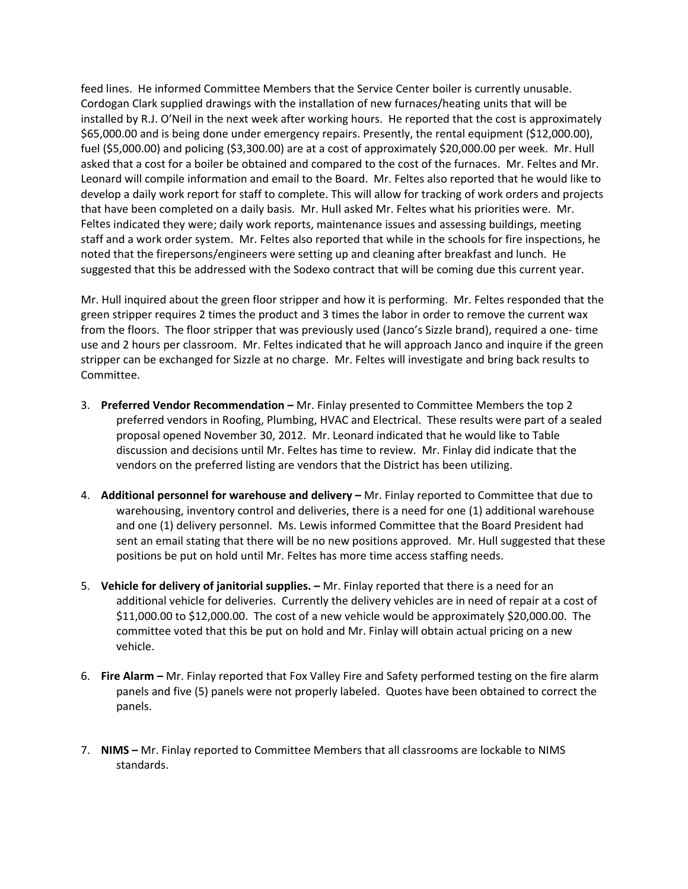feed lines. He informed Committee Members that the Service Center boiler is currently unusable. Cordogan Clark supplied drawings with the installation of new furnaces/heating units that will be installed by R.J. O'Neil in the next week after working hours. He reported that the cost is approximately \$65,000.00 and is being done under emergency repairs. Presently, the rental equipment (\$12,000.00), fuel (\$5,000.00) and policing (\$3,300.00) are at a cost of approximately \$20,000.00 per week. Mr. Hull asked that a cost for a boiler be obtained and compared to the cost of the furnaces. Mr. Feltes and Mr. Leonard will compile information and email to the Board. Mr. Feltes also reported that he would like to develop a daily work report for staff to complete. This will allow for tracking of work orders and projects that have been completed on a daily basis. Mr. Hull asked Mr. Feltes what his priorities were. Mr. Feltes indicated they were; daily work reports, maintenance issues and assessing buildings, meeting staff and a work order system. Mr. Feltes also reported that while in the schools for fire inspections, he noted that the firepersons/engineers were setting up and cleaning after breakfast and lunch. He suggested that this be addressed with the Sodexo contract that will be coming due this current year.

Mr. Hull inquired about the green floor stripper and how it is performing. Mr. Feltes responded that the green stripper requires 2 times the product and 3 times the labor in order to remove the current wax from the floors. The floor stripper that was previously used (Janco's Sizzle brand), required a one‐ time use and 2 hours per classroom. Mr. Feltes indicated that he will approach Janco and inquire if the green stripper can be exchanged for Sizzle at no charge. Mr. Feltes will investigate and bring back results to Committee.

- 3. **Preferred Vendor Recommendation –** Mr. Finlay presented to Committee Members the top 2 preferred vendors in Roofing, Plumbing, HVAC and Electrical. These results were part of a sealed proposal opened November 30, 2012. Mr. Leonard indicated that he would like to Table discussion and decisions until Mr. Feltes has time to review. Mr. Finlay did indicate that the vendors on the preferred listing are vendors that the District has been utilizing.
- 4. **Additional personnel for warehouse and delivery –** Mr. Finlay reported to Committee that due to warehousing, inventory control and deliveries, there is a need for one (1) additional warehouse and one (1) delivery personnel. Ms. Lewis informed Committee that the Board President had sent an email stating that there will be no new positions approved. Mr. Hull suggested that these positions be put on hold until Mr. Feltes has more time access staffing needs.
- 5. **Vehicle for delivery of janitorial supplies. –** Mr. Finlay reported that there is a need for an additional vehicle for deliveries. Currently the delivery vehicles are in need of repair at a cost of \$11,000.00 to \$12,000.00. The cost of a new vehicle would be approximately \$20,000.00. The committee voted that this be put on hold and Mr. Finlay will obtain actual pricing on a new vehicle.
- 6. **Fire Alarm –** Mr. Finlay reported that Fox Valley Fire and Safety performed testing on the fire alarm panels and five (5) panels were not properly labeled. Quotes have been obtained to correct the panels.
- 7. **NIMS –** Mr. Finlay reported to Committee Members that all classrooms are lockable to NIMS standards.